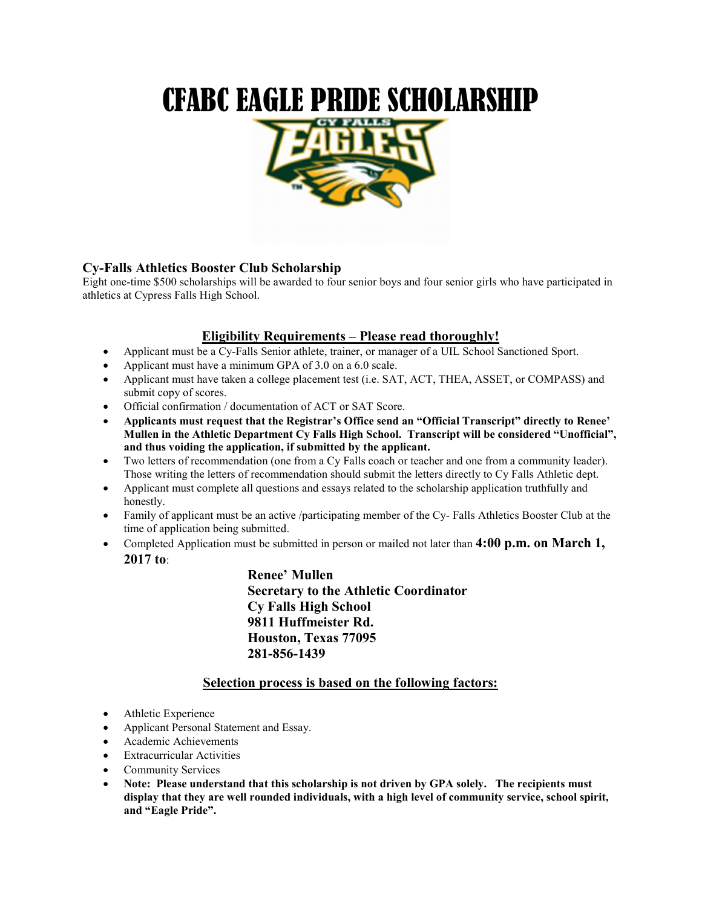# CFABC EAGLE PRIDE SCHOLARSHIP



## Cy-Falls Athletics Booster Club Scholarship

Eight one-time \$500 scholarships will be awarded to four senior boys and four senior girls who have participated in athletics at Cypress Falls High School.

## Eligibility Requirements – Please read thoroughly!

- Applicant must be a Cy-Falls Senior athlete, trainer, or manager of a UIL School Sanctioned Sport.
- Applicant must have a minimum GPA of 3.0 on a 6.0 scale.
- Applicant must have taken a college placement test (i.e. SAT, ACT, THEA, ASSET, or COMPASS) and submit copy of scores.
- Official confirmation / documentation of ACT or SAT Score.
- Applicants must request that the Registrar's Office send an "Official Transcript" directly to Renee' Mullen in the Athletic Department Cy Falls High School. Transcript will be considered "Unofficial", and thus voiding the application, if submitted by the applicant.
- Two letters of recommendation (one from a Cy Falls coach or teacher and one from a community leader). Those writing the letters of recommendation should submit the letters directly to Cy Falls Athletic dept.
- Applicant must complete all questions and essays related to the scholarship application truthfully and honestly.
- Family of applicant must be an active /participating member of the Cy- Falls Athletics Booster Club at the time of application being submitted.
- Completed Application must be submitted in person or mailed not later than  $4:00$  p.m. on March 1, 2017 to:

Renee' Mullen Secretary to the Athletic Coordinator Cy Falls High School 9811 Huffmeister Rd. Houston, Texas 77095 281-856-1439

## Selection process is based on the following factors:

- Athletic Experience
- Applicant Personal Statement and Essay.
- Academic Achievements
- Extracurricular Activities
- Community Services
- Note: Please understand that this scholarship is not driven by GPA solely. The recipients must display that they are well rounded individuals, with a high level of community service, school spirit, and "Eagle Pride".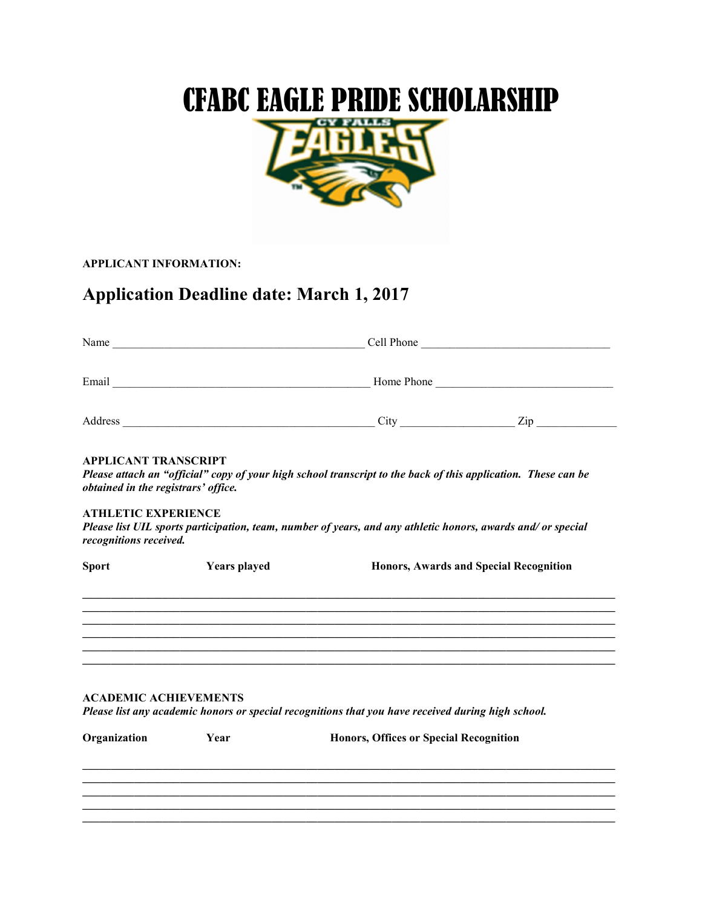# CFABC EAGLE PRIDE SCHOLARSHIP



APPLICANT INFORMATION:

# Application Deadline date: March 1, 2017

| <b>APPLICANT TRANSCRIPT</b><br>obtained in the registrars' office. |                     | Please attach an "official" copy of your high school transcript to the back of this application. These can be |                                        |  |  |
|--------------------------------------------------------------------|---------------------|---------------------------------------------------------------------------------------------------------------|----------------------------------------|--|--|
| <b>ATHLETIC EXPERIENCE</b><br>recognitions received.               |                     | Please list UIL sports participation, team, number of years, and any athletic honors, awards and/ or special  |                                        |  |  |
| <b>Sport</b>                                                       | <b>Years</b> played |                                                                                                               | Honors, Awards and Special Recognition |  |  |
|                                                                    |                     |                                                                                                               |                                        |  |  |
| <b>ACADEMIC ACHIEVEMENTS</b>                                       |                     | Please list any academic honors or special recognitions that you have received during high school.            |                                        |  |  |
| Organization                                                       | Year                | <b>Honors, Offices or Special Recognition</b>                                                                 |                                        |  |  |
|                                                                    |                     |                                                                                                               |                                        |  |  |
|                                                                    |                     |                                                                                                               |                                        |  |  |
|                                                                    |                     |                                                                                                               |                                        |  |  |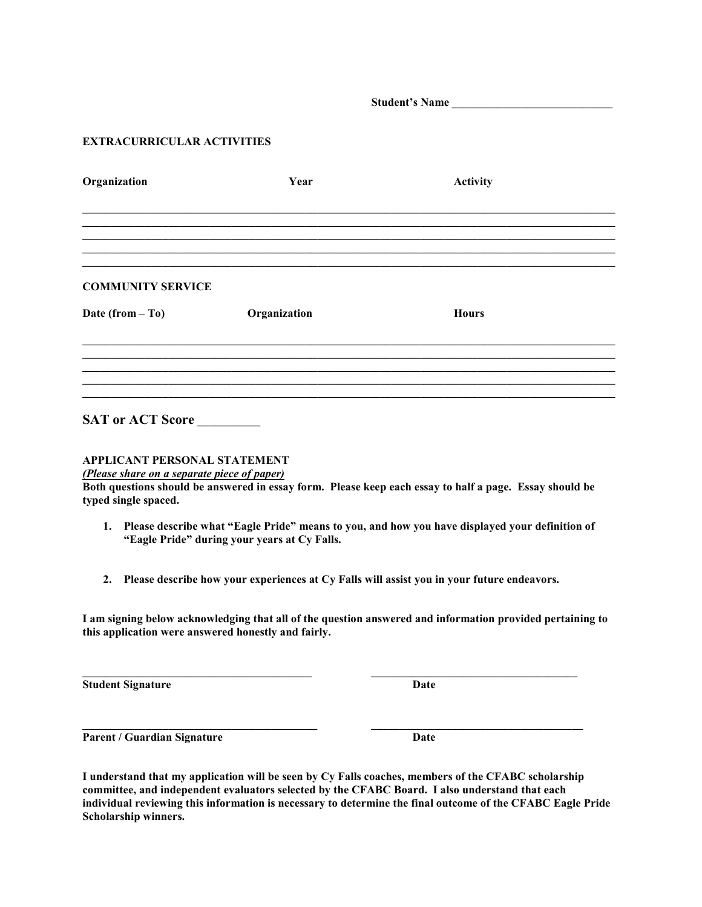Student's Name

#### EXTRACURRICULAR ACTIVITIES

| Organization             | Year         | <b>Activity</b> |
|--------------------------|--------------|-----------------|
|                          |              |                 |
|                          |              |                 |
|                          |              |                 |
| <b>COMMUNITY SERVICE</b> |              |                 |
| Date (from $-$ To)       | Organization | <b>Hours</b>    |
|                          |              |                 |
|                          |              |                 |
|                          |              |                 |
| <b>SAT or ACT Score</b>  |              |                 |

## APPLICANT PERSONAL STATEMENT

(Please share on a separate piece of paper)

Both questions should be answered in essay form. Please keep each essay to half a page. Essay should be typed single spaced.

- 1. Please describe what "Eagle Pride" means to you, and how you have displayed your definition of "Eagle Pride" during your years at Cy Falls.
- 2. Please describe how your experiences at Cy Falls will assist you in your future endeavors.

\_\_\_\_\_\_\_\_\_\_\_\_\_\_\_\_\_\_\_\_\_\_\_\_\_\_\_\_\_\_\_\_\_\_\_\_\_\_\_\_ \_\_\_\_\_\_\_\_\_\_\_\_\_\_\_\_\_\_\_\_\_\_\_\_\_\_\_\_\_\_\_\_\_\_\_\_

 $\mathcal{L}_\text{max}$ 

I am signing below acknowledging that all of the question answered and information provided pertaining to this application were answered honestly and fairly.

Student Signature Date

Parent / Guardian Signature Date

I understand that my application will be seen by Cy Falls coaches, members of the CFABC scholarship committee, and independent evaluators selected by the CFABC Board. I also understand that each individual reviewing this information is necessary to determine the final outcome of the CFABC Eagle Pride Scholarship winners.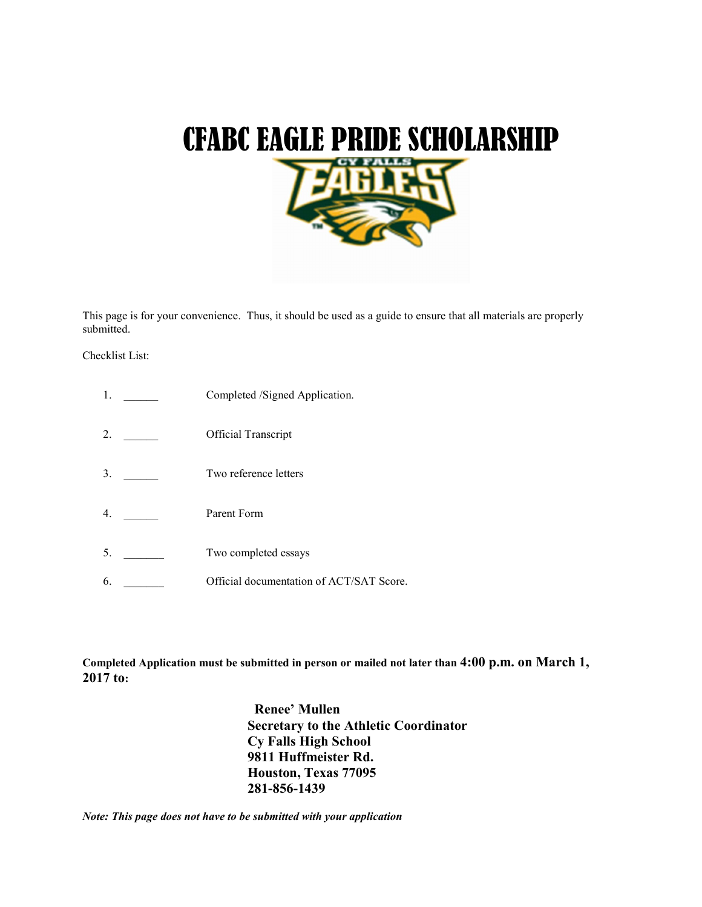

This page is for your convenience. Thus, it should be used as a guide to ensure that all materials are properly submitted.

#### Checklist List:

- 1. Completed /Signed Application.
- 2. \_\_\_\_\_\_\_ Official Transcript
- 3. Two reference letters
- 4. <u>\_\_\_\_\_\_\_</u> Parent Form
- 5. \_\_\_\_\_\_\_\_\_ Two completed essays
- 6. **Conserverse Official documentation of ACT/SAT Score.**

Completed Application must be submitted in person or mailed not later than 4:00 p.m. on March 1, 2017 to:

> Renee' Mullen Secretary to the Athletic Coordinator Cy Falls High School 9811 Huffmeister Rd. Houston, Texas 77095 281-856-1439

Note: This page does not have to be submitted with your application